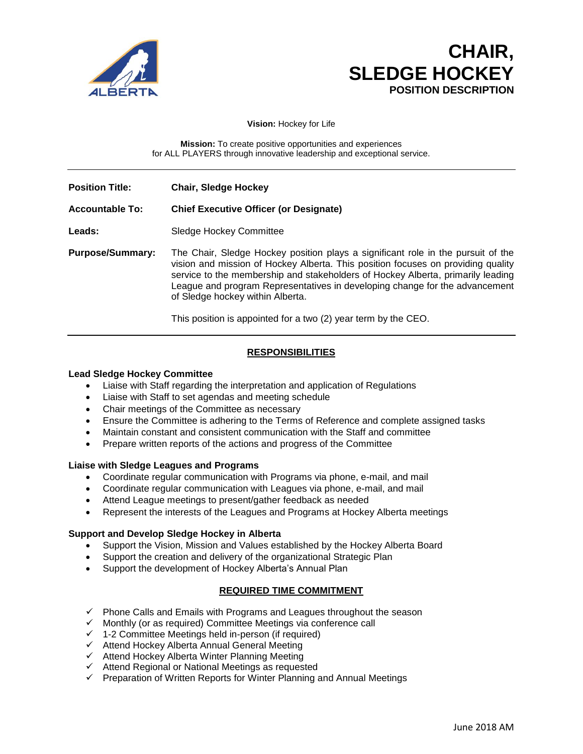

# **CHAIR, SLEDGE HOCKEY POSITION DESCRIPTION**

**Vision:** Hockey for Life

**Mission:** To create positive opportunities and experiences for ALL PLAYERS through innovative leadership and exceptional service.

**Position Title: Chair, Sledge Hockey Accountable To: Chief Executive Officer (or Designate)** Leads: Sledge Hockey Committee **Purpose/Summary:** The Chair, Sledge Hockey position plays a significant role in the pursuit of the vision and mission of Hockey Alberta. This position focuses on providing quality service to the membership and stakeholders of Hockey Alberta, primarily leading League and program Representatives in developing change for the advancement of Sledge hockey within Alberta.

This position is appointed for a two (2) year term by the CEO.

## **RESPONSIBILITIES**

## **Lead Sledge Hockey Committee**

- Liaise with Staff regarding the interpretation and application of Regulations
- Liaise with Staff to set agendas and meeting schedule
- Chair meetings of the Committee as necessary
- Ensure the Committee is adhering to the Terms of Reference and complete assigned tasks
- Maintain constant and consistent communication with the Staff and committee
- Prepare written reports of the actions and progress of the Committee

#### **Liaise with Sledge Leagues and Programs**

- Coordinate regular communication with Programs via phone, e-mail, and mail
- Coordinate regular communication with Leagues via phone, e-mail, and mail
- Attend League meetings to present/gather feedback as needed
- Represent the interests of the Leagues and Programs at Hockey Alberta meetings

#### **Support and Develop Sledge Hockey in Alberta**

- Support the Vision, Mission and Values established by the Hockey Alberta Board
- Support the creation and delivery of the organizational Strategic Plan
- Support the development of Hockey Alberta's Annual Plan

## **REQUIRED TIME COMMITMENT**

- ✓ Phone Calls and Emails with Programs and Leagues throughout the season
- ✓ Monthly (or as required) Committee Meetings via conference call
- ✓ 1-2 Committee Meetings held in-person (if required)
- ✓ Attend Hockey Alberta Annual General Meeting
- ✓ Attend Hockey Alberta Winter Planning Meeting
- ✓ Attend Regional or National Meetings as requested
- ✓ Preparation of Written Reports for Winter Planning and Annual Meetings